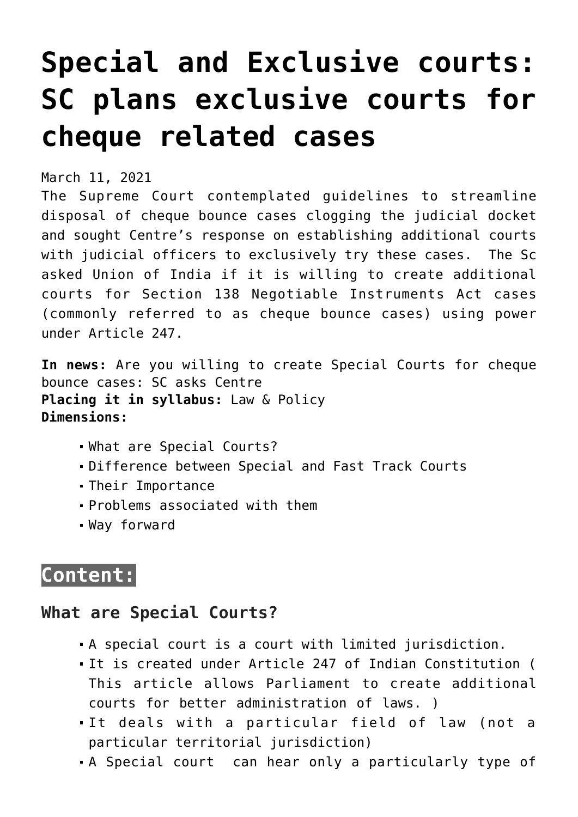# **[Special and Exclusive courts:](https://journalsofindia.com/special-and-exclusive-courts-sc-plans-exclusive-courts-for-cheque-related-cases/) [SC plans exclusive courts for](https://journalsofindia.com/special-and-exclusive-courts-sc-plans-exclusive-courts-for-cheque-related-cases/) [cheque related cases](https://journalsofindia.com/special-and-exclusive-courts-sc-plans-exclusive-courts-for-cheque-related-cases/)**

March 11, 2021

The Supreme Court contemplated guidelines to streamline disposal of cheque bounce cases clogging the judicial docket and sought Centre's response on establishing additional courts with judicial officers to exclusively try these cases. The Sc asked Union of India if it is willing to create additional courts for Section 138 Negotiable Instruments Act cases (commonly referred to as cheque bounce cases) using power under Article 247.

**In news:** Are you willing to create Special Courts for cheque bounce cases: SC asks Centre **Placing it in syllabus:** Law & Policy **Dimensions:**

- What are Special Courts?
- Difference between Special and Fast Track Courts
- Their Importance
- Problems associated with them
- Way forward

## **Content:**

#### **What are Special Courts?**

- A special court is a court with limited jurisdiction.
- It is created under Article 247 of Indian Constitution ( This article allows Parliament to create additional courts for better administration of laws. )
- It deals with a particular field of law (not a particular territorial jurisdiction)
- A Special court can hear only a particularly type of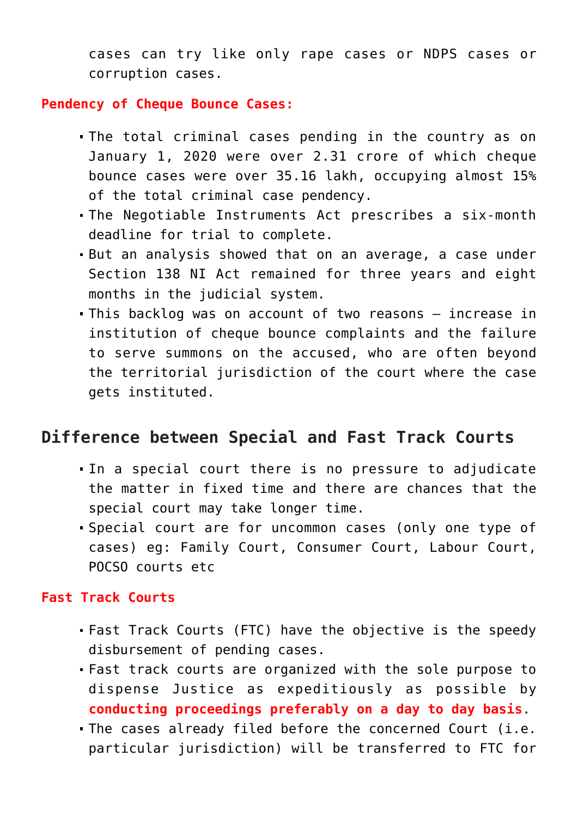cases can try like only rape cases or NDPS cases or corruption cases.

#### **Pendency of Cheque Bounce Cases:**

- The total criminal cases pending in the country as on January 1, 2020 were over 2.31 crore of which cheque bounce cases were over 35.16 lakh, occupying almost 15% of the total criminal case pendency.
- The Negotiable Instruments Act prescribes a six-month deadline for trial to complete.
- But an analysis showed that on an average, a case under Section 138 NI Act remained for three years and eight months in the judicial system.
- This backlog was on account of two reasons increase in institution of cheque bounce complaints and the failure to serve summons on the accused, who are often beyond the territorial jurisdiction of the court where the case gets instituted.

#### **Difference between Special and Fast Track Courts**

- In a special court there is no pressure to adjudicate the matter in fixed time and there are chances that the special court may take longer time.
- Special court are for uncommon cases (only one type of cases) eg: Family Court, Consumer Court, Labour Court, POCSO courts etc

#### **Fast Track Courts**

- Fast Track Courts (FTC) have the objective is the speedy disbursement of pending cases.
- Fast track courts are organized with the sole purpose to dispense Justice as expeditiously as possible by **conducting proceedings preferably on a day to day basis**.
- The cases already filed before the concerned Court (i.e. particular jurisdiction) will be transferred to FTC for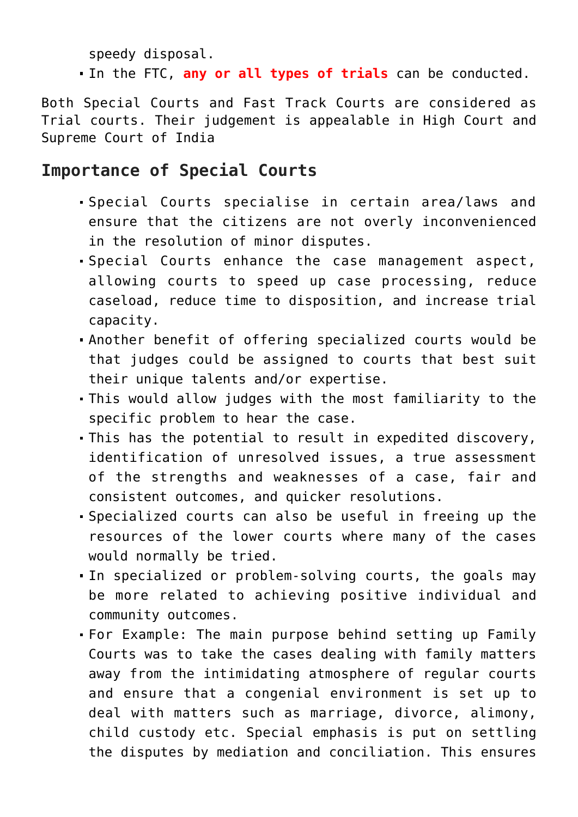speedy disposal.

In the FTC, **any or all types of trials** can be conducted.

Both Special Courts and Fast Track Courts are considered as Trial courts. Their judgement is appealable in High Court and Supreme Court of India

### **Importance of Special Courts**

- Special Courts specialise in certain area/laws and ensure that the citizens are not overly inconvenienced in the resolution of minor disputes.
- Special Courts enhance the case management aspect, allowing courts to speed up case processing, reduce caseload, reduce time to disposition, and increase trial capacity.
- Another benefit of offering specialized courts would be that judges could be assigned to courts that best suit their unique talents and/or expertise.
- This would allow judges with the most familiarity to the specific problem to hear the case.
- This has the potential to result in expedited discovery, identification of unresolved issues, a true assessment of the strengths and weaknesses of a case, fair and consistent outcomes, and quicker resolutions.
- Specialized courts can also be useful in freeing up the resources of the lower courts where many of the cases would normally be tried.
- In specialized or problem-solving courts, the goals may be more related to achieving positive individual and community outcomes.
- For Example: The main purpose behind setting up Family Courts was to take the cases dealing with family matters away from the intimidating atmosphere of regular courts and ensure that a congenial environment is set up to deal with matters such as marriage, divorce, alimony, child custody etc. Special emphasis is put on settling the disputes by mediation and conciliation. This ensures